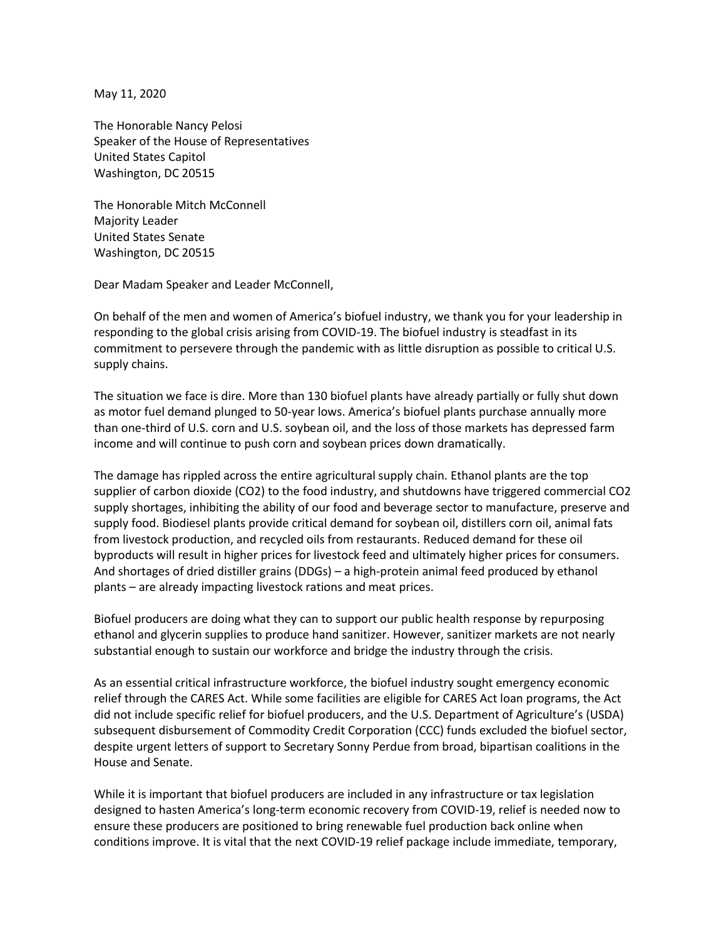May 11, 2020

The Honorable Nancy Pelosi Speaker of the House of Representatives United States Capitol Washington, DC 20515

The Honorable Mitch McConnell Majority Leader United States Senate Washington, DC 20515

Dear Madam Speaker and Leader McConnell,

On behalf of the men and women of America's biofuel industry, we thank you for your leadership in responding to the global crisis arising from COVID-19. The biofuel industry is steadfast in its commitment to persevere through the pandemic with as little disruption as possible to critical U.S. supply chains.

The situation we face is dire. More than 130 biofuel plants have already partially or fully shut down as motor fuel demand plunged to 50-year lows. America's biofuel plants purchase annually more than one-third of U.S. corn and U.S. soybean oil, and the loss of those markets has depressed farm income and will continue to push corn and soybean prices down dramatically.

The damage has rippled across the entire agricultural supply chain. Ethanol plants are the top supplier of carbon dioxide (CO2) to the food industry, and shutdowns have triggered commercial CO2 supply shortages, inhibiting the ability of our food and beverage sector to manufacture, preserve and supply food. Biodiesel plants provide critical demand for soybean oil, distillers corn oil, animal fats from livestock production, and recycled oils from restaurants. Reduced demand for these oil byproducts will result in higher prices for livestock feed and ultimately higher prices for consumers. And shortages of dried distiller grains (DDGs) – a high-protein animal feed produced by ethanol plants – are already impacting livestock rations and meat prices.

Biofuel producers are doing what they can to support our public health response by repurposing ethanol and glycerin supplies to produce hand sanitizer. However, sanitizer markets are not nearly substantial enough to sustain our workforce and bridge the industry through the crisis.

As an essential critical infrastructure workforce, the biofuel industry sought emergency economic relief through the CARES Act. While some facilities are eligible for CARES Act loan programs, the Act did not include specific relief for biofuel producers, and the U.S. Department of Agriculture's (USDA) subsequent disbursement of Commodity Credit Corporation (CCC) funds excluded the biofuel sector, despite urgent letters of support to Secretary Sonny Perdue from broad, bipartisan coalitions in the House and Senate.

While it is important that biofuel producers are included in any infrastructure or tax legislation designed to hasten America's long-term economic recovery from COVID-19, relief is needed now to ensure these producers are positioned to bring renewable fuel production back online when conditions improve. It is vital that the next COVID-19 relief package include immediate, temporary,